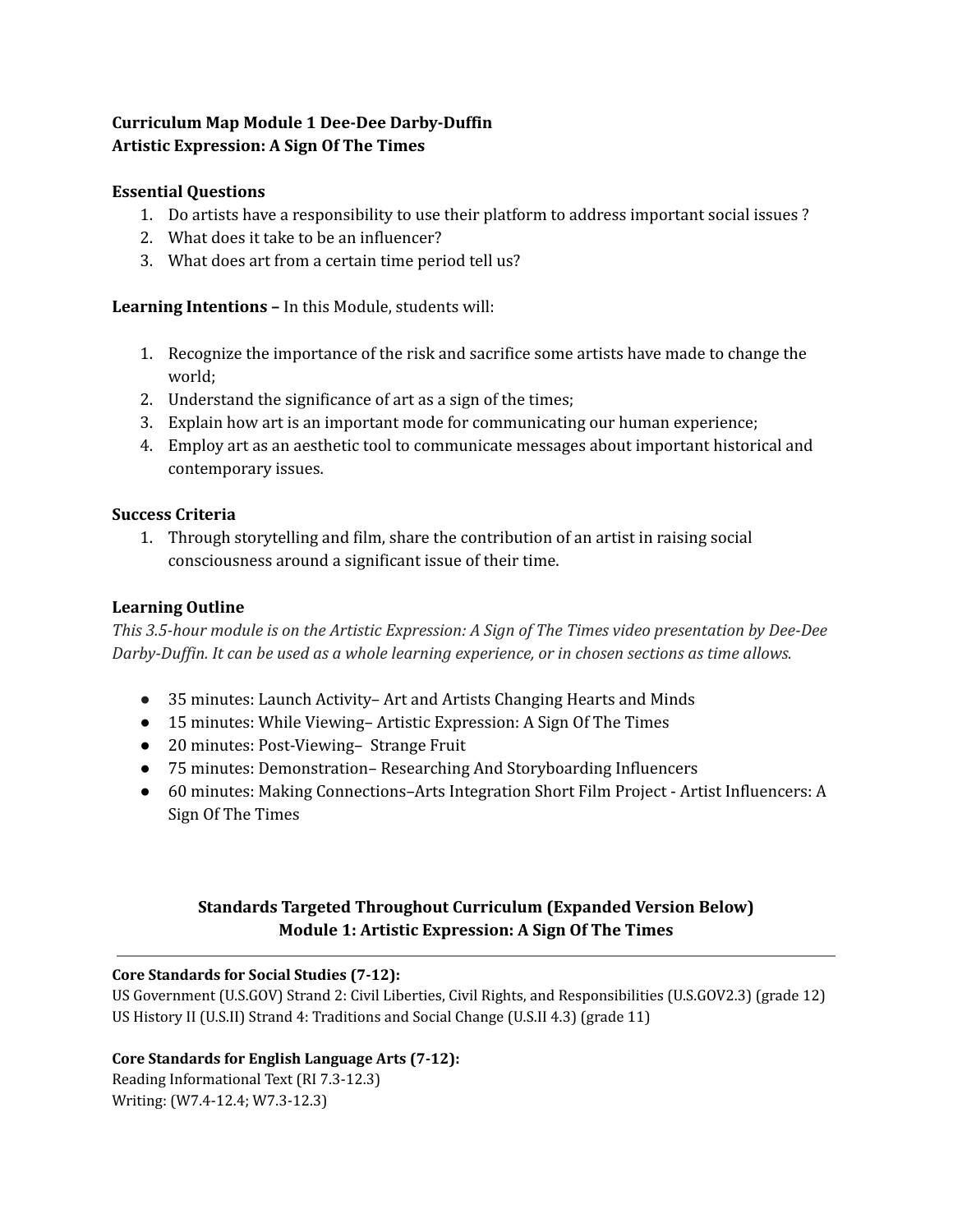# **Curriculum Map Module 1 Dee-Dee Darby-Duffin Artistic Expression: A Sign Of The Times**

## **Essential Questions**

- 1. Do artists have a responsibility to use their platform to address important social issues ?
- 2. What does it take to be an influencer?
- 3. What does art from a certain time period tell us?

## **Learning Intentions –** In this Module, students will:

- 1. Recognize the importance of the risk and sacrifice some artists have made to change the world;
- 2. Understand the significance of art as a sign of the times;
- 3. Explain how art is an important mode for communicating our human experience;
- 4. Employ art as an aesthetic tool to communicate messages about important historical and contemporary issues.

## **Success Criteria**

1. Through storytelling and film, share the contribution of an artist in raising social consciousness around a significant issue of their time.

## **Learning Outline**

*This 3.5-hour module is on the Artistic Expression: A Sign of The Times video presentation by Dee-Dee Darby-Duf in. It can be used as a whole learning experience, or in chosen sections as time allows.*

- 35 minutes: Launch Activity– Art and Artists Changing Hearts and Minds
- 15 minutes: While Viewing– Artistic Expression: A Sign Of The Times
- 20 minutes: Post-Viewing– Strange Fruit
- 75 minutes: Demonstration– Researching And Storyboarding Influencers
- 60 minutes: Making Connections–Arts Integration Short Film Project Artist Influencers: A Sign Of The Times

# **Standards Targeted Throughout Curriculum (Expanded Version Below) Module 1: Artistic Expression: A Sign Of The Times**

### **Core Standards for Social Studies (7-12):**

US Government (U.S.GOV) Strand 2: Civil Liberties, Civil Rights, and Responsibilities (U.S.GOV2.3) (grade 12) US History II (U.S.II) Strand 4: Traditions and Social Change (U.S.II 4.3) (grade 11)

## **Core Standards for English Language Arts (7-12):**

Reading Informational Text (RI 7.3-12.3) Writing: (W7.4-12.4; W7.3-12.3)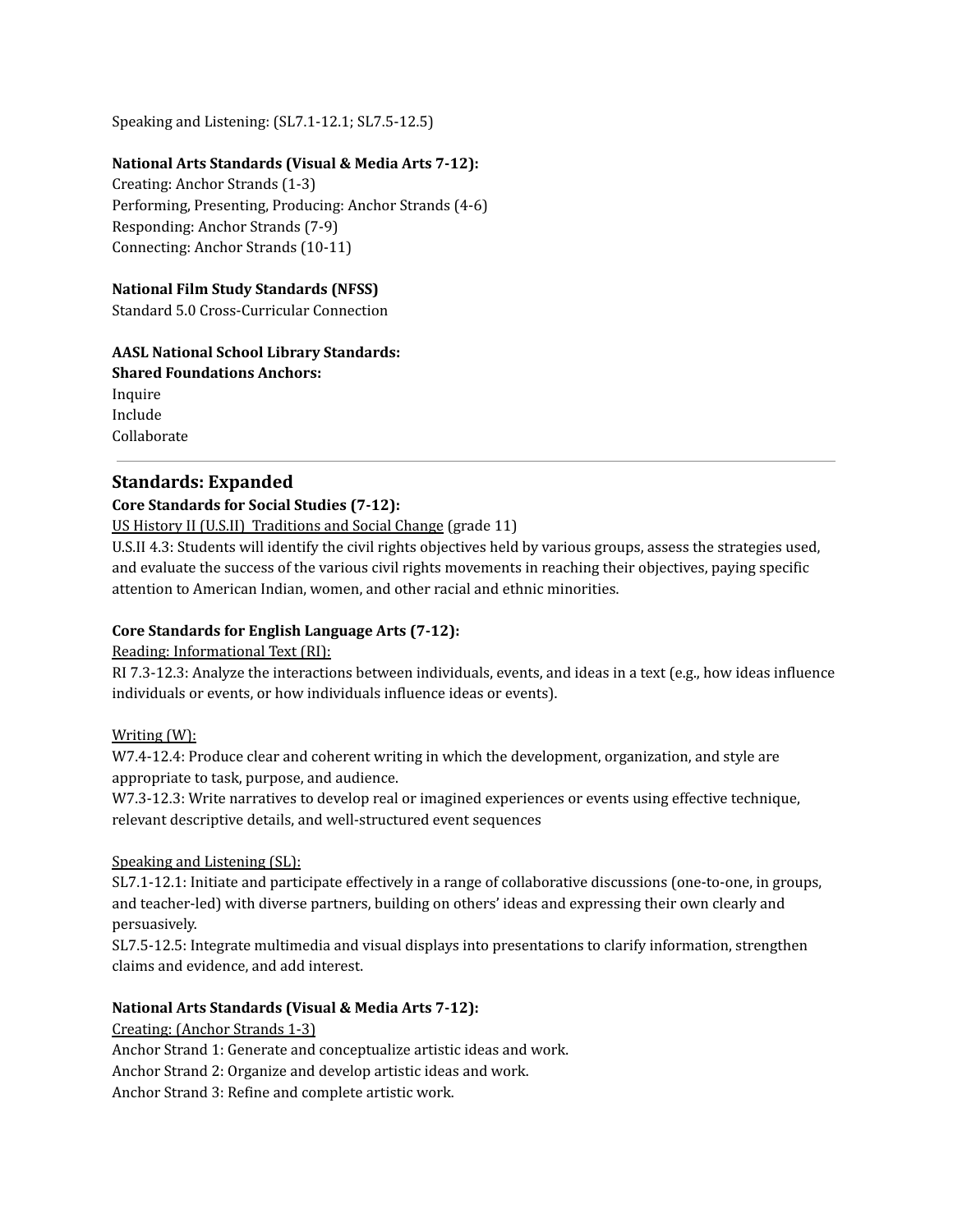Speaking and Listening: (SL7.1-12.1; SL7.5-12.5)

### **National Arts Standards (Visual & Media Arts 7-12):**

Creating: Anchor Strands (1-3) Performing, Presenting, Producing: Anchor Strands (4-6) Responding: Anchor Strands (7-9) Connecting: Anchor Strands (10-11)

#### **National Film Study Standards (NFSS)**

Standard 5.0 Cross-Curricular Connection

### **AASL National School Library Standards:**

**Shared Foundations Anchors:** Inquire Include Collaborate

## **Standards: Expanded**

### **Core Standards for Social Studies (7-12):**

US History II (U.S.II) Traditions and Social Change (grade 11)

U.S.II 4.3: Students will identify the civil rights objectives held by various groups, assess the strategies used, and evaluate the success of the various civil rights movements in reaching their objectives, paying specific attention to American Indian, women, and other racial and ethnic minorities.

### **Core Standards for English Language Arts (7-12):**

### Reading: Informational Text (RI):

RI 7.3-12.3: Analyze the interactions between individuals, events, and ideas in a text (e.g., how ideas influence individuals or events, or how individuals influence ideas or events).

### Writing (W):

W7.4-12.4: Produce clear and coherent writing in which the development, organization, and style are appropriate to task, purpose, and audience.

W7.3-12.3: Write narratives to develop real or imagined experiences or events using effective technique, relevant descriptive details, and well-structured event sequences

### Speaking and Listening (SL):

SL7.1-12.1: Initiate and participate effectively in a range of collaborative discussions (one-to-one, in groups, and teacher-led) with diverse partners, building on others' ideas and expressing their own clearly and persuasively.

SL7.5-12.5: Integrate multimedia and visual displays into presentations to clarify information, strengthen claims and evidence, and add interest.

### **National Arts Standards (Visual & Media Arts 7-12):**

Creating: (Anchor Strands 1-3)

Anchor Strand 1: Generate and conceptualize artistic ideas and work. Anchor Strand 2: Organize and develop artistic ideas and work.

Anchor Strand 3: Refine and complete artistic work.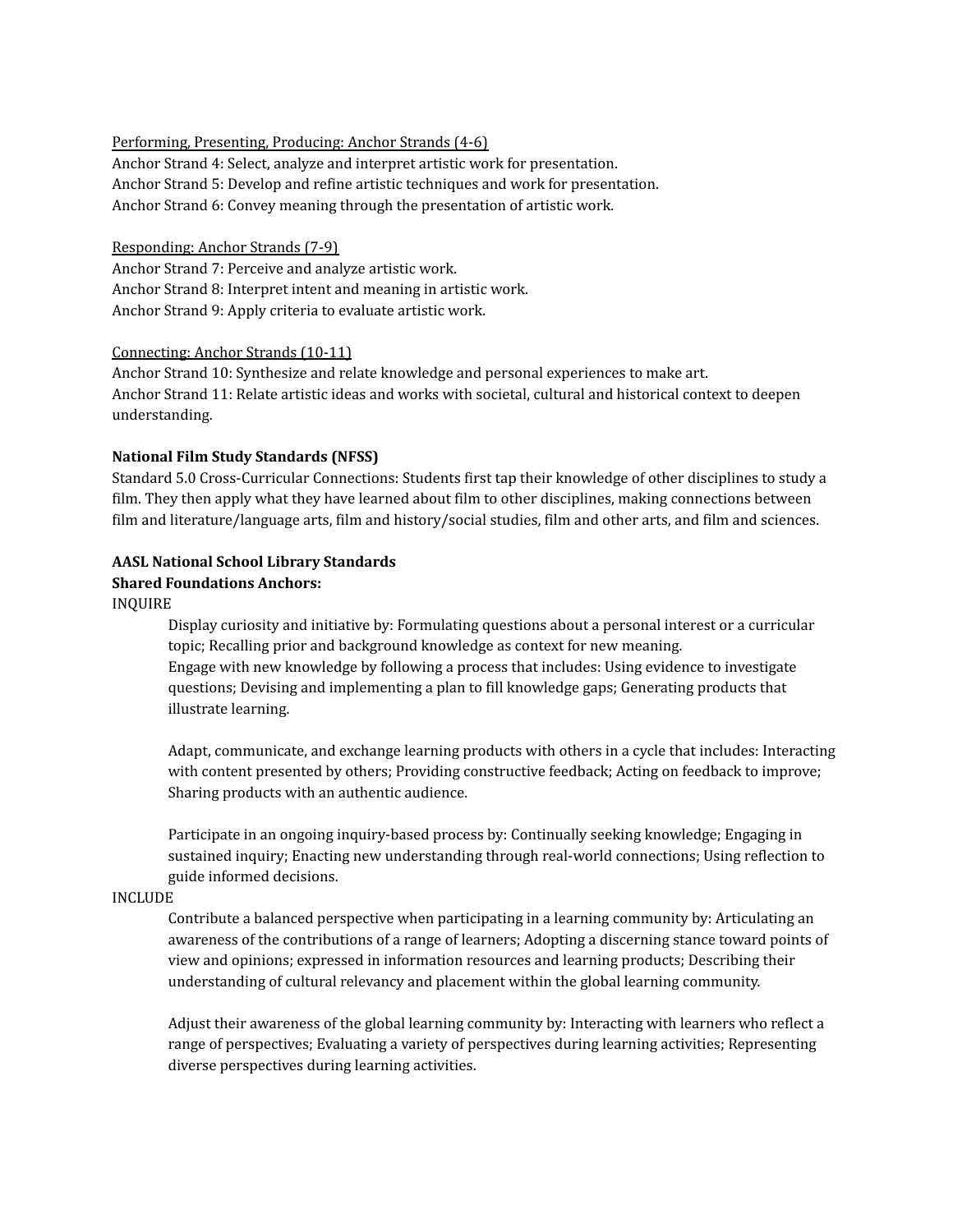#### Performing, Presenting, Producing: Anchor Strands (4-6)

Anchor Strand 4: Select, analyze and interpret artistic work for presentation. Anchor Strand 5: Develop and refine artistic techniques and work for presentation. Anchor Strand 6: Convey meaning through the presentation of artistic work.

### Responding: Anchor Strands (7-9)

Anchor Strand 7: Perceive and analyze artistic work. Anchor Strand 8: Interpret intent and meaning in artistic work. Anchor Strand 9: Apply criteria to evaluate artistic work.

#### Connecting: Anchor Strands (10-11)

Anchor Strand 10: Synthesize and relate knowledge and personal experiences to make art. Anchor Strand 11: Relate artistic ideas and works with societal, cultural and historical context to deepen understanding.

#### **National Film Study Standards (NFSS)**

Standard 5.0 Cross-Curricular Connections: Students first tap their knowledge of other disciplines to study a film. They then apply what they have learned about film to other disciplines, making connections between film and literature/language arts, film and history/social studies, film and other arts, and film and sciences.

#### **AASL National School Library Standards Shared Foundations Anchors:**

## INQUIRE

Display curiosity and initiative by: Formulating questions about a personal interest or a curricular topic; Recalling prior and background knowledge as context for new meaning. Engage with new knowledge by following a process that includes: Using evidence to investigate questions; Devising and implementing a plan to fill knowledge gaps; Generating products that illustrate learning.

Adapt, communicate, and exchange learning products with others in a cycle that includes: Interacting with content presented by others; Providing constructive feedback; Acting on feedback to improve; Sharing products with an authentic audience.

Participate in an ongoing inquiry-based process by: Continually seeking knowledge; Engaging in sustained inquiry; Enacting new understanding through real-world connections; Using reflection to guide informed decisions.

#### INCLUDE

Contribute a balanced perspective when participating in a learning community by: Articulating an awareness of the contributions of a range of learners; Adopting a discerning stance toward points of view and opinions; expressed in information resources and learning products; Describing their understanding of cultural relevancy and placement within the global learning community.

Adjust their awareness of the global learning community by: Interacting with learners who reflect a range of perspectives; Evaluating a variety of perspectives during learning activities; Representing diverse perspectives during learning activities.